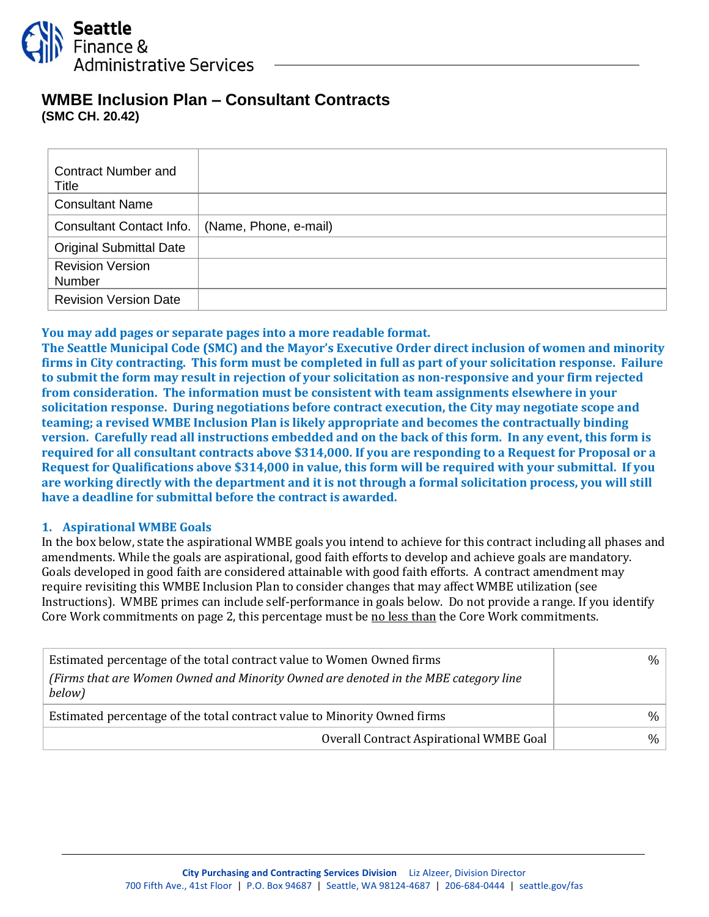

# **WMBE Inclusion Plan – Consultant Contracts (SMC CH. 20.42)**

| <b>Contract Number and</b><br><b>Title</b> |                       |
|--------------------------------------------|-----------------------|
| <b>Consultant Name</b>                     |                       |
| Consultant Contact Info.                   | (Name, Phone, e-mail) |
| <b>Original Submittal Date</b>             |                       |
| <b>Revision Version</b><br><b>Number</b>   |                       |
| <b>Revision Version Date</b>               |                       |

## **You may add pages or separate pages into a more readable format.**

**The Seattle Municipal Code (SMC) and the Mayor's Executive Order direct inclusion of women and minority firms in City contracting. This form must be completed in full as part of your solicitation response. Failure to submit the form may result in rejection of your solicitation as non-responsive and your firm rejected from consideration. The information must be consistent with team assignments elsewhere in your solicitation response. During negotiations before contract execution, the City may negotiate scope and teaming; a revised WMBE Inclusion Plan is likely appropriate and becomes the contractually binding version. Carefully read all instructions embedded and on the back of this form. In any event, this form is required for all consultant contracts above \$314,000. If you are responding to a Request for Proposal or a Request for Qualifications above \$314,000 in value, this form will be required with your submittal. If you are working directly with the department and it is not through a formal solicitation process, you will still have a deadline for submittal before the contract is awarded.**

#### **1. Aspirational WMBE Goals**

In the box below, state the aspirational WMBE goals you intend to achieve for this contract including all phases and amendments. While the goals are aspirational, good faith efforts to develop and achieve goals are mandatory. Goals developed in good faith are considered attainable with good faith efforts. A contract amendment may require revisiting this WMBE Inclusion Plan to consider changes that may affect WMBE utilization (see Instructions). WMBE primes can include self-performance in goals below. Do not provide a range. If you identify Core Work commitments on page 2, this percentage must be <u>no less than</u> the Core Work commitments.

| Estimated percentage of the total contract value to Women Owned firms<br>(Firms that are Women Owned and Minority Owned are denoted in the MBE category line<br>below) | $\%$ |
|------------------------------------------------------------------------------------------------------------------------------------------------------------------------|------|
| Estimated percentage of the total contract value to Minority Owned firms                                                                                               | $\%$ |
| Overall Contract Aspirational WMBE Goal                                                                                                                                | $\%$ |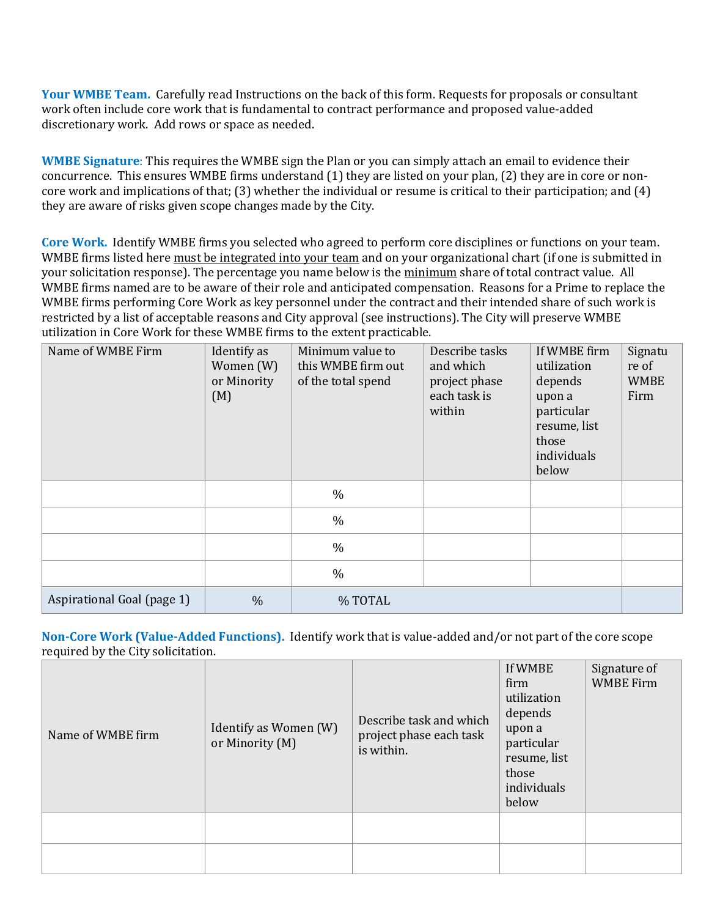**Your WMBE Team.** Carefully read Instructions on the back of this form. Requests for proposals or consultant work often include core work that is fundamental to contract performance and proposed value-added discretionary work. Add rows or space as needed.

**WMBE Signature**: This requires the WMBE sign the Plan or you can simply attach an email to evidence their concurrence. This ensures WMBE firms understand (1) they are listed on your plan, (2) they are in core or noncore work and implications of that; (3) whether the individual or resume is critical to their participation; and (4) they are aware of risks given scope changes made by the City.

**Core Work.** Identify WMBE firms you selected who agreed to perform core disciplines or functions on your team. WMBE firms listed here must be integrated into your team and on your organizational chart (if one is submitted in your solicitation response). The percentage you name below is the minimum share of total contract value. All WMBE firms named are to be aware of their role and anticipated compensation. Reasons for a Prime to replace the WMBE firms performing Core Work as key personnel under the contract and their intended share of such work is restricted by a list of acceptable reasons and City approval (see instructions). The City will preserve WMBE utilization in Core Work for these WMBE firms to the extent practicable.

| Name of WMBE Firm          | Identify as<br>Women (W)<br>or Minority<br>(M) | Minimum value to<br>this WMBE firm out<br>of the total spend | Describe tasks<br>and which<br>project phase<br>each task is<br>within | If WMBE firm<br>utilization<br>depends<br>upon a<br>particular<br>resume, list<br>those<br>individuals<br>below | Signatu<br>re of<br><b>WMBE</b><br>Firm |
|----------------------------|------------------------------------------------|--------------------------------------------------------------|------------------------------------------------------------------------|-----------------------------------------------------------------------------------------------------------------|-----------------------------------------|
|                            |                                                | $\frac{0}{0}$                                                |                                                                        |                                                                                                                 |                                         |
|                            |                                                | $\%$                                                         |                                                                        |                                                                                                                 |                                         |
|                            |                                                | $\frac{0}{0}$                                                |                                                                        |                                                                                                                 |                                         |
|                            |                                                | $\frac{0}{0}$                                                |                                                                        |                                                                                                                 |                                         |
| Aspirational Goal (page 1) | $\frac{0}{0}$                                  | % TOTAL                                                      |                                                                        |                                                                                                                 |                                         |

**Non-Core Work (Value-Added Functions).** Identify work that is value-added and/or not part of the core scope required by the City solicitation.

| Name of WMBE firm | Identify as Women (W)<br>or Minority (M) | Describe task and which<br>project phase each task<br>is within. | If WMBE<br>firm<br>utilization<br>depends<br>upon a<br>particular<br>resume, list<br>those<br>individuals<br>below | Signature of<br><b>WMBE Firm</b> |
|-------------------|------------------------------------------|------------------------------------------------------------------|--------------------------------------------------------------------------------------------------------------------|----------------------------------|
|                   |                                          |                                                                  |                                                                                                                    |                                  |
|                   |                                          |                                                                  |                                                                                                                    |                                  |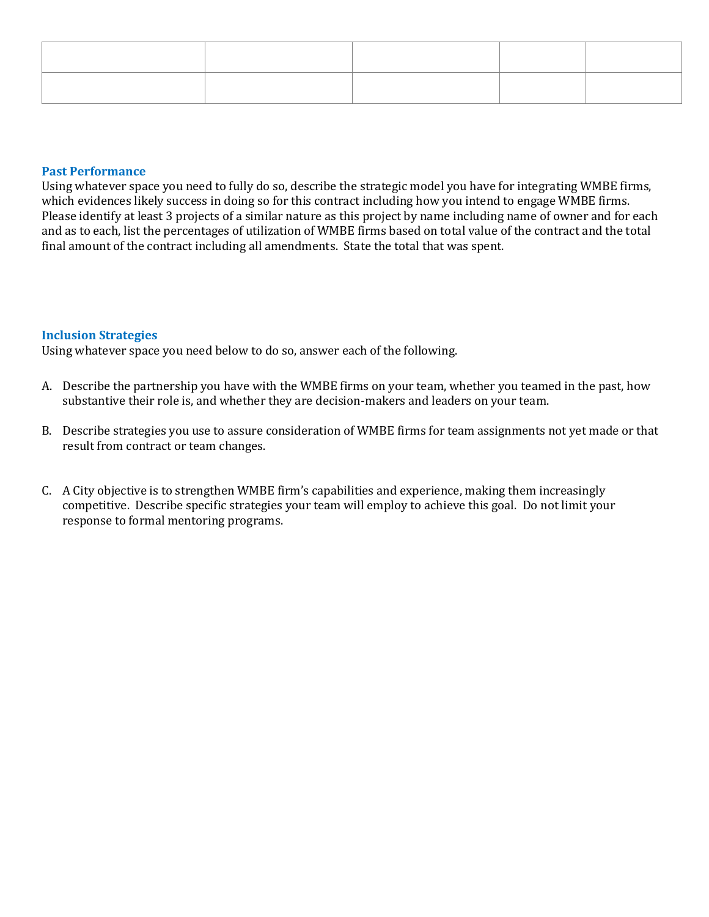## **Past Performance**

Using whatever space you need to fully do so, describe the strategic model you have for integrating WMBE firms, which evidences likely success in doing so for this contract including how you intend to engage WMBE firms. Please identify at least 3 projects of a similar nature as this project by name including name of owner and for each and as to each, list the percentages of utilization of WMBE firms based on total value of the contract and the total final amount of the contract including all amendments. State the total that was spent.

#### **Inclusion Strategies**

Using whatever space you need below to do so, answer each of the following.

- A. Describe the partnership you have with the WMBE firms on your team, whether you teamed in the past, how substantive their role is, and whether they are decision-makers and leaders on your team.
- B. Describe strategies you use to assure consideration of WMBE firms for team assignments not yet made or that result from contract or team changes.
- C. A City objective is to strengthen WMBE firm's capabilities and experience, making them increasingly competitive. Describe specific strategies your team will employ to achieve this goal. Do not limit your response to formal mentoring programs.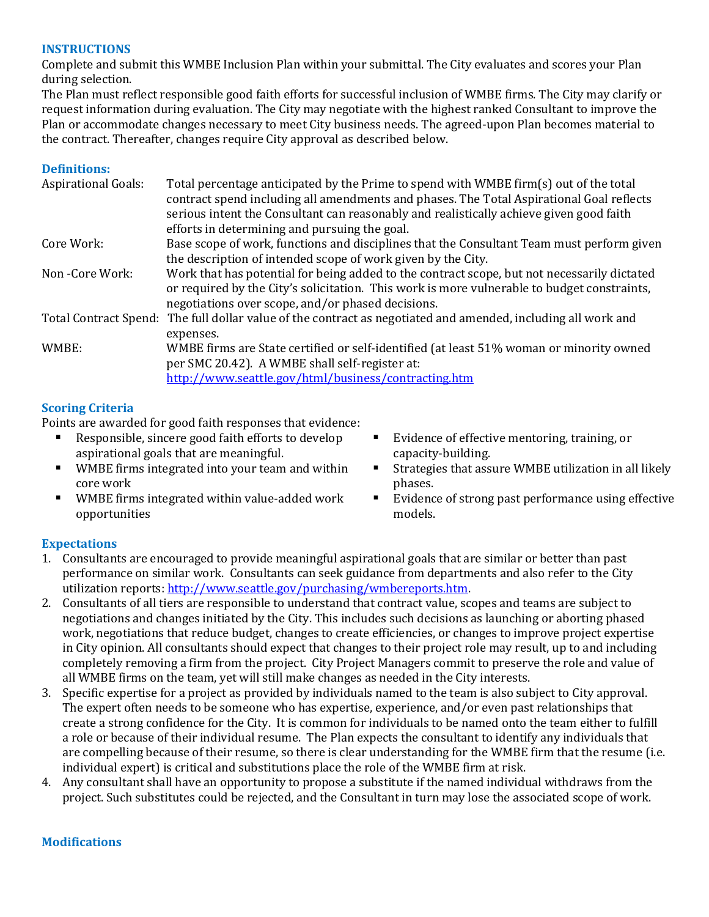#### **INSTRUCTIONS**

Complete and submit this WMBE Inclusion Plan within your submittal. The City evaluates and scores your Plan during selection.

The Plan must reflect responsible good faith efforts for successful inclusion of WMBE firms. The City may clarify or request information during evaluation. The City may negotiate with the highest ranked Consultant to improve the Plan or accommodate changes necessary to meet City business needs. The agreed-upon Plan becomes material to the contract. Thereafter, changes require City approval as described below.

## **Definitions:**

| <b>Aspirational Goals:</b> | Total percentage anticipated by the Prime to spend with WMBE firm(s) out of the total<br>contract spend including all amendments and phases. The Total Aspirational Goal reflects<br>serious intent the Consultant can reasonably and realistically achieve given good faith<br>efforts in determining and pursuing the goal. |
|----------------------------|-------------------------------------------------------------------------------------------------------------------------------------------------------------------------------------------------------------------------------------------------------------------------------------------------------------------------------|
| Core Work:                 | Base scope of work, functions and disciplines that the Consultant Team must perform given                                                                                                                                                                                                                                     |
|                            | the description of intended scope of work given by the City.                                                                                                                                                                                                                                                                  |
| Non - Core Work:           | Work that has potential for being added to the contract scope, but not necessarily dictated<br>or required by the City's solicitation. This work is more vulnerable to budget constraints,<br>negotiations over scope, and/or phased decisions.                                                                               |
|                            | Total Contract Spend: The full dollar value of the contract as negotiated and amended, including all work and<br>expenses.                                                                                                                                                                                                    |
| WMBE:                      | WMBE firms are State certified or self-identified (at least 51% woman or minority owned<br>per SMC 20.42). A WMBE shall self-register at:<br>http://www.seattle.gov/html/business/contracting.htm                                                                                                                             |

## **Scoring Criteria**

Points are awarded for good faith responses that evidence:

- Responsible, sincere good faith efforts to develop aspirational goals that are meaningful.
- WMBE firms integrated into your team and within core work
- WMBE firms integrated within value-added work opportunities
- Evidence of effective mentoring, training, or capacity-building.
- Strategies that assure WMBE utilization in all likely phases.
- Evidence of strong past performance using effective models.

# **Expectations**

- 1. Consultants are encouraged to provide meaningful aspirational goals that are similar or better than past performance on similar work. Consultants can seek guidance from departments and also refer to the City utilization reports: [http://www.seattle.gov/purchasing/wmbereports.htm.](http://www.seattle.gov/purchasing/wmbereports.htm)
- 2. Consultants of all tiers are responsible to understand that contract value, scopes and teams are subject to negotiations and changes initiated by the City. This includes such decisions as launching or aborting phased work, negotiations that reduce budget, changes to create efficiencies, or changes to improve project expertise in City opinion. All consultants should expect that changes to their project role may result, up to and including completely removing a firm from the project. City Project Managers commit to preserve the role and value of all WMBE firms on the team, yet will still make changes as needed in the City interests.
- 3. Specific expertise for a project as provided by individuals named to the team is also subject to City approval. The expert often needs to be someone who has expertise, experience, and/or even past relationships that create a strong confidence for the City. It is common for individuals to be named onto the team either to fulfill a role or because of their individual resume. The Plan expects the consultant to identify any individuals that are compelling because of their resume, so there is clear understanding for the WMBE firm that the resume (i.e. individual expert) is critical and substitutions place the role of the WMBE firm at risk.
- 4. Any consultant shall have an opportunity to propose a substitute if the named individual withdraws from the project. Such substitutes could be rejected, and the Consultant in turn may lose the associated scope of work.

#### **Modifications**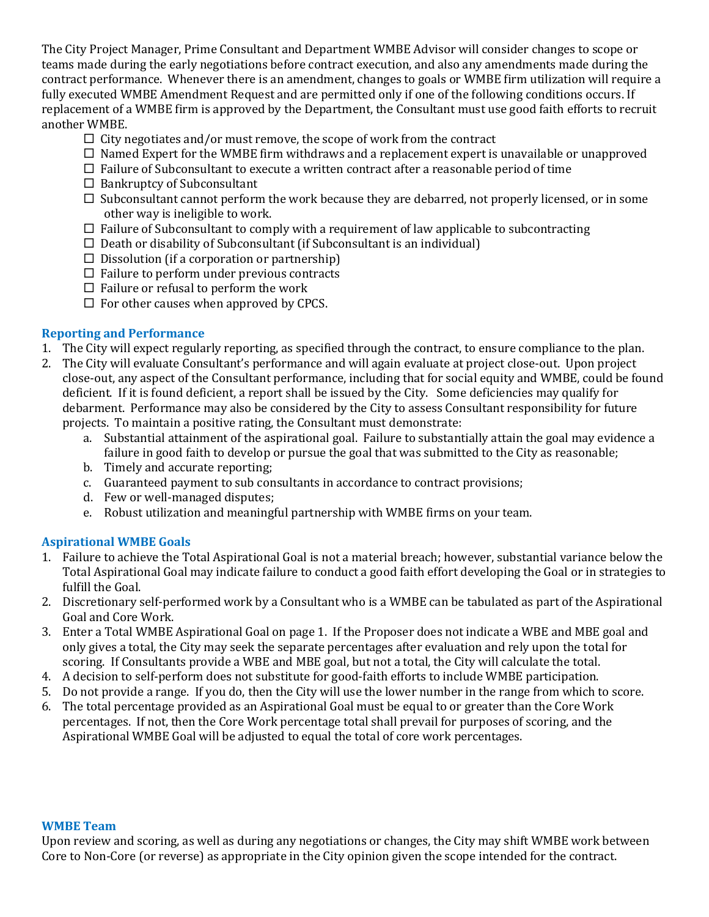The City Project Manager, Prime Consultant and Department WMBE Advisor will consider changes to scope or teams made during the early negotiations before contract execution, and also any amendments made during the contract performance. Whenever there is an amendment, changes to goals or WMBE firm utilization will require a fully executed WMBE Amendment Request and are permitted only if one of the following conditions occurs. If replacement of a WMBE firm is approved by the Department, the Consultant must use good faith efforts to recruit another WMBE.

- $\Box$  City negotiates and/or must remove, the scope of work from the contract
- $\Box$  Named Expert for the WMBE firm withdraws and a replacement expert is unavailable or unapproved
- $\Box$  Failure of Subconsultant to execute a written contract after a reasonable period of time
- $\Box$  Bankruptcy of Subconsultant
- $\square$  Subconsultant cannot perform the work because they are debarred, not properly licensed, or in some other way is ineligible to work.
- $\Box$  Failure of Subconsultant to comply with a requirement of law applicable to subcontracting
- $\Box$  Death or disability of Subconsultant (if Subconsultant is an individual)
- $\square$  Dissolution (if a corporation or partnership)
- $\Box$  Failure to perform under previous contracts
- $\Box$  Failure or refusal to perform the work
- $\Box$  For other causes when approved by CPCS.

## **Reporting and Performance**

- 1. The City will expect regularly reporting, as specified through the contract, to ensure compliance to the plan.
- 2. The City will evaluate Consultant's performance and will again evaluate at project close-out. Upon project close-out, any aspect of the Consultant performance, including that for social equity and WMBE, could be found deficient. If it is found deficient, a report shall be issued by the City. Some deficiencies may qualify for debarment. Performance may also be considered by the City to assess Consultant responsibility for future projects. To maintain a positive rating, the Consultant must demonstrate:
	- a. Substantial attainment of the aspirational goal. Failure to substantially attain the goal may evidence a failure in good faith to develop or pursue the goal that was submitted to the City as reasonable;
	- b. Timely and accurate reporting;
	- c. Guaranteed payment to sub consultants in accordance to contract provisions;
	- d. Few or well-managed disputes;
	- e. Robust utilization and meaningful partnership with WMBE firms on your team.

# **Aspirational WMBE Goals**

- 1. Failure to achieve the Total Aspirational Goal is not a material breach; however, substantial variance below the Total Aspirational Goal may indicate failure to conduct a good faith effort developing the Goal or in strategies to fulfill the Goal.
- 2. Discretionary self-performed work by a Consultant who is a WMBE can be tabulated as part of the Aspirational Goal and Core Work.
- 3. Enter a Total WMBE Aspirational Goal on page 1. If the Proposer does not indicate a WBE and MBE goal and only gives a total, the City may seek the separate percentages after evaluation and rely upon the total for scoring. If Consultants provide a WBE and MBE goal, but not a total, the City will calculate the total.
- 4. A decision to self-perform does not substitute for good-faith efforts to include WMBE participation.
- 5. Do not provide a range. If you do, then the City will use the lower number in the range from which to score.
- 6. The total percentage provided as an Aspirational Goal must be equal to or greater than the Core Work percentages. If not, then the Core Work percentage total shall prevail for purposes of scoring, and the Aspirational WMBE Goal will be adjusted to equal the total of core work percentages.

#### **WMBE Team**

Upon review and scoring, as well as during any negotiations or changes, the City may shift WMBE work between Core to Non-Core (or reverse) as appropriate in the City opinion given the scope intended for the contract.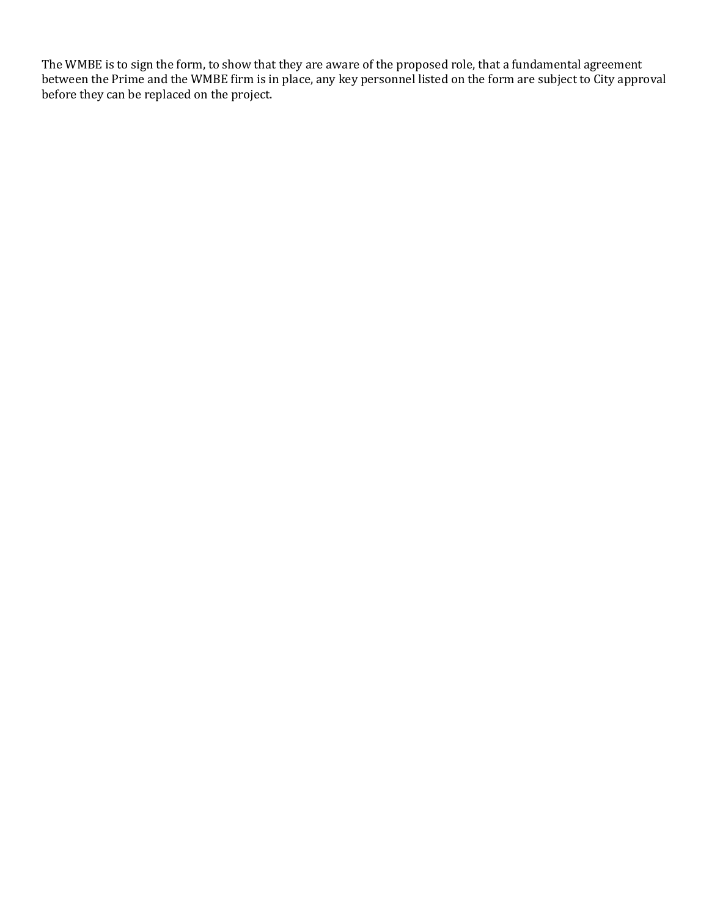The WMBE is to sign the form, to show that they are aware of the proposed role, that a fundamental agreement between the Prime and the WMBE firm is in place, any key personnel listed on the form are subject to City approval before they can be replaced on the project.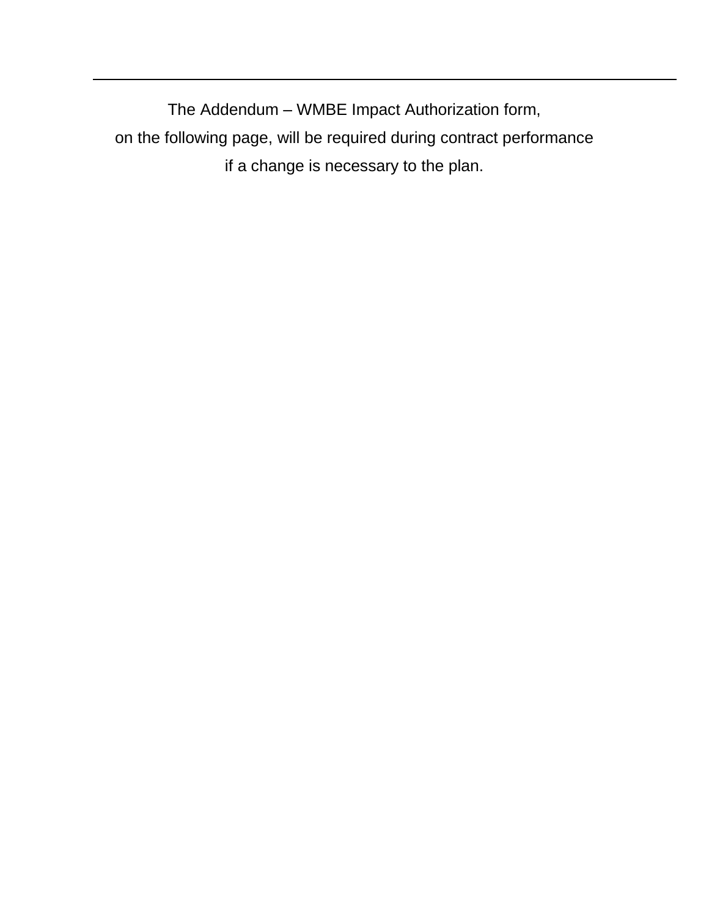The Addendum – WMBE Impact Authorization form, on the following page, will be required during contract performance if a change is necessary to the plan.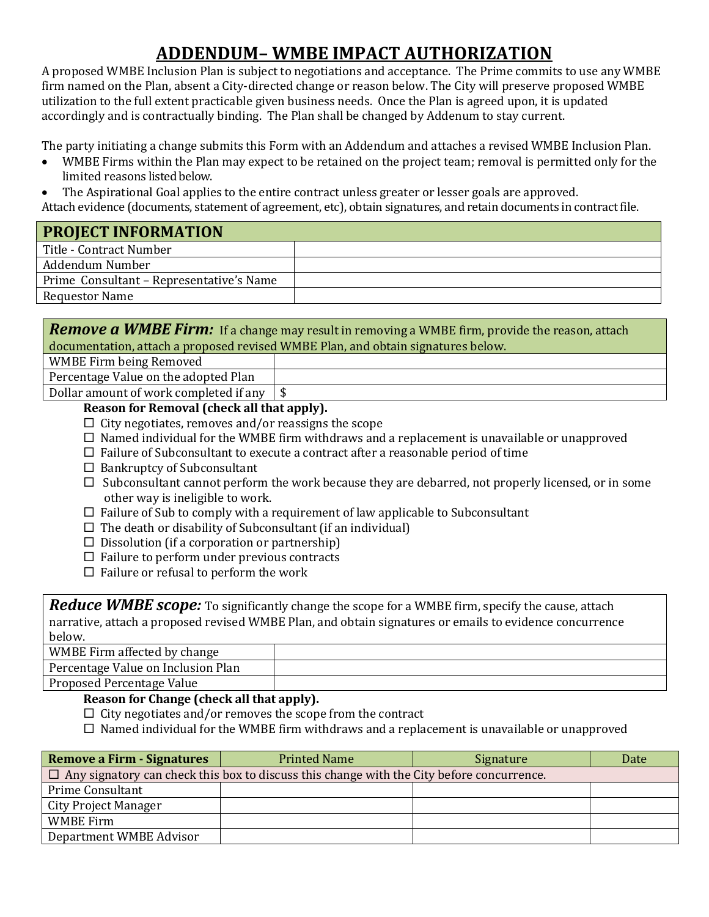# **ADDENDUM– WMBE IMPACT AUTHORIZATION**

A proposed WMBE Inclusion Plan is subject to negotiations and acceptance. The Prime commits to use any WMBE firm named on the Plan, absent a City-directed change or reason below. The City will preserve proposed WMBE utilization to the full extent practicable given business needs. Once the Plan is agreed upon, it is updated accordingly and is contractually binding. The Plan shall be changed by Addenum to stay current.

The party initiating a change submits this Form with an Addendum and attaches a revised WMBE Inclusion Plan.

- WMBE Firms within the Plan may expect to be retained on the project team; removal is permitted only for the limited reasons listed below.
- The Aspirational Goal applies to the entire contract unless greater or lesser goals are approved.

Attach evidence (documents, statement of agreement, etc), obtain signatures, and retain documents in contract file.

| <b>PROJECT INFORMATION</b>               |  |  |
|------------------------------------------|--|--|
| Title - Contract Number                  |  |  |
| Addendum Number                          |  |  |
| Prime Consultant – Representative's Name |  |  |
| <b>Requestor Name</b>                    |  |  |
|                                          |  |  |

*Remove a WMBE Firm:* If a change may result in removing a WMBE firm, provide the reason, attach documentation, attach a proposed revised WMBE Plan, and obtain signatures below.

WMBE Firm being Removed

Percentage Value on the adopted Plan

Dollar amount of work completed if any  $\frac{1}{s}$ 

# **Reason for Removal (check all that apply).**

- $\Box$  City negotiates, removes and/or reassigns the scope
- $\Box$  Named individual for the WMBE firm withdraws and a replacement is unavailable or unapproved
- $\Box$  Failure of Subconsultant to execute a contract after a reasonable period of time
- $\Box$  Bankruptcy of Subconsultant
- $\Box$  Subconsultant cannot perform the work because they are debarred, not properly licensed, or in some other way is ineligible to work.
- $\Box$  Failure of Sub to comply with a requirement of law applicable to Subconsultant
- $\Box$  The death or disability of Subconsultant (if an individual)
- $\square$  Dissolution (if a corporation or partnership)
- $\Box$  Failure to perform under previous contracts
- $\Box$  Failure or refusal to perform the work

*Reduce WMBE scope:* To significantly change the scope for a WMBE firm, specify the cause, attach narrative, attach a proposed revised WMBE Plan, and obtain signatures or emails to evidence concurrence below.

WMBE Firm affected by change

Percentage Value on Inclusion Plan

Proposed Percentage Value

# **Reason for Change (check all that apply).**

 $\Box$  City negotiates and/or removes the scope from the contract

 $\Box$  Named individual for the WMBE firm withdraws and a replacement is unavailable or unapproved

| <b>Remove a Firm - Signatures</b> | <b>Printed Name</b>                                                                              | Signature | Date |
|-----------------------------------|--------------------------------------------------------------------------------------------------|-----------|------|
|                                   | $\Box$ Any signatory can check this box to discuss this change with the City before concurrence. |           |      |
| <b>Prime Consultant</b>           |                                                                                                  |           |      |
| <b>City Project Manager</b>       |                                                                                                  |           |      |
| <b>WMBE Firm</b>                  |                                                                                                  |           |      |
| Department WMBE Advisor           |                                                                                                  |           |      |